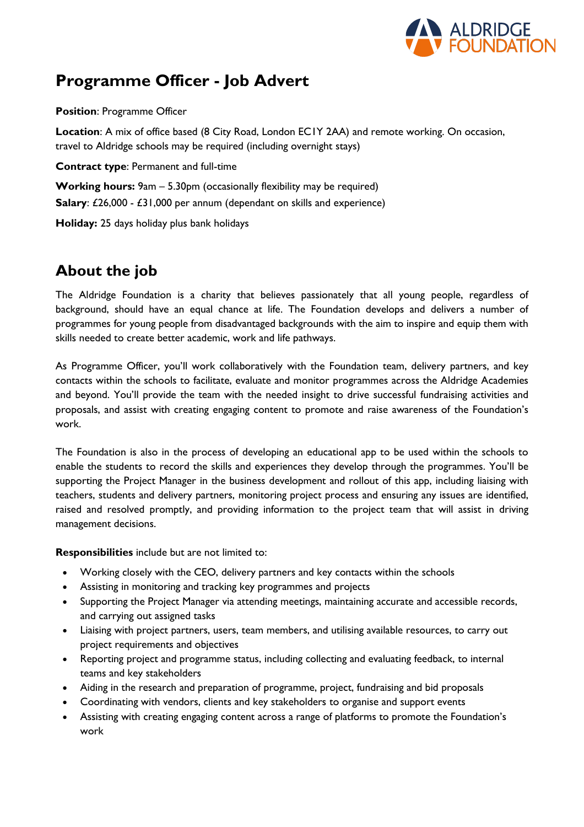

# **Programme Officer - Job Advert**

**Position**: Programme Officer

**Location**: A mix of office based (8 City Road, London EC1Y 2AA) and remote working. On occasion, travel to Aldridge schools may be required (including overnight stays)

**Contract type**: Permanent and full-time

**Working hours:** 9am – 5.30pm (occasionally flexibility may be required) **Salary:** £26,000 - £31,000 per annum (dependant on skills and experience) **Holiday:** 25 days holiday plus bank holidays

# **About the job**

The Aldridge Foundation is a charity that believes passionately that all young people, regardless of background, should have an equal chance at life. The Foundation develops and delivers a number of programmes for young people from disadvantaged backgrounds with the aim to inspire and equip them with skills needed to create better academic, work and life pathways.

As Programme Officer, you'll work collaboratively with the Foundation team, delivery partners, and key contacts within the schools to facilitate, evaluate and monitor programmes across the Aldridge Academies and beyond. You'll provide the team with the needed insight to drive successful fundraising activities and proposals, and assist with creating engaging content to promote and raise awareness of the Foundation's work.

The Foundation is also in the process of developing an educational app to be used within the schools to enable the students to record the skills and experiences they develop through the programmes. You'll be supporting the Project Manager in the business development and rollout of this app, including liaising with teachers, students and delivery partners, monitoring project process and ensuring any issues are identified, raised and resolved promptly, and providing information to the project team that will assist in driving management decisions.

**Responsibilities** include but are not limited to:

- Working closely with the CEO, delivery partners and key contacts within the schools
- Assisting in monitoring and tracking key programmes and projects
- Supporting the Project Manager via attending meetings, maintaining accurate and accessible records, and carrying out assigned tasks
- Liaising with project partners, users, team members, and utilising available resources, to carry out project requirements and objectives
- Reporting project and programme status, including collecting and evaluating feedback, to internal teams and key stakeholders
- Aiding in the research and preparation of programme, project, fundraising and bid proposals
- Coordinating with vendors, clients and key stakeholders to organise and support events
- Assisting with creating engaging content across a range of platforms to promote the Foundation's work